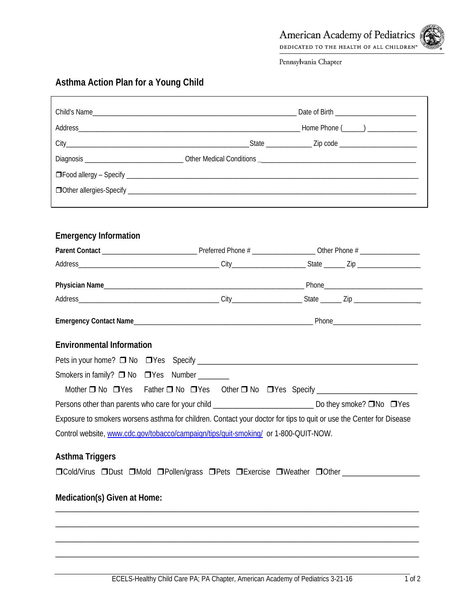Pennsylvania Chapter

## **Asthma Action Plan for a Young Child**

| <b>Emergency Information</b>                                                        |                                                                                                                     |
|-------------------------------------------------------------------------------------|---------------------------------------------------------------------------------------------------------------------|
|                                                                                     |                                                                                                                     |
|                                                                                     |                                                                                                                     |
|                                                                                     |                                                                                                                     |
|                                                                                     |                                                                                                                     |
|                                                                                     |                                                                                                                     |
| <b>Environmental Information</b>                                                    |                                                                                                                     |
|                                                                                     |                                                                                                                     |
| Smokers in family? □ No □ Yes Number _______                                        |                                                                                                                     |
|                                                                                     | Mother D No DYes Father D No DYes Other D No DYes Specify ______________________                                    |
|                                                                                     | Persons other than parents who care for your child _____________________________ Do they smoke? □No □ Yes           |
|                                                                                     | Exposure to smokers worsens asthma for children. Contact your doctor for tips to quit or use the Center for Disease |
| Control website, www.cdc.gov/tobacco/campaign/tips/quit-smoking/ or 1-800-QUIT-NOW. |                                                                                                                     |
| <b>Asthma Triggers</b>                                                              |                                                                                                                     |
|                                                                                     | □Cold/Virus □Dust □Mold □Pollen/grass □Pets □Exercise □Weather □Other _______________                               |
| Medication(s) Given at Home:                                                        |                                                                                                                     |
|                                                                                     |                                                                                                                     |
|                                                                                     |                                                                                                                     |
|                                                                                     |                                                                                                                     |